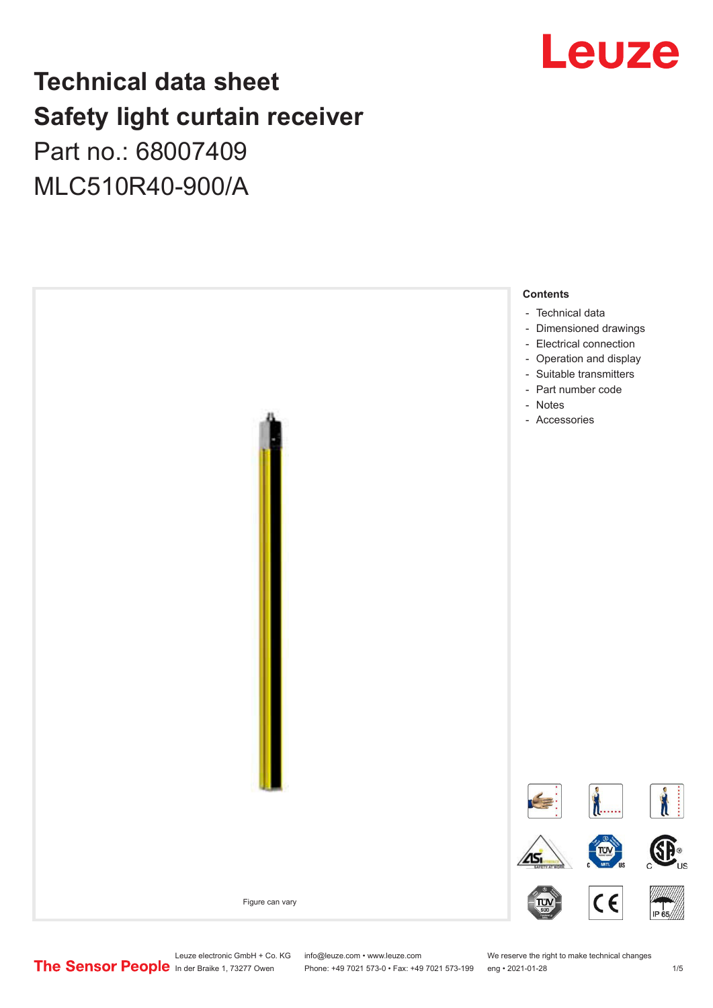## Leuze

## **Technical data sheet Safety light curtain receiver** Part no.: 68007409

MLC510R40-900/A



Leuze electronic GmbH + Co. KG info@leuze.com • www.leuze.com We reserve the right to make technical changes<br>
The Sensor People in der Braike 1, 73277 Owen Phone: +49 7021 573-0 • Fax: +49 7021 573-199 eng • 2021-01-28

Phone: +49 7021 573-0 • Fax: +49 7021 573-199 eng • 2021-01-28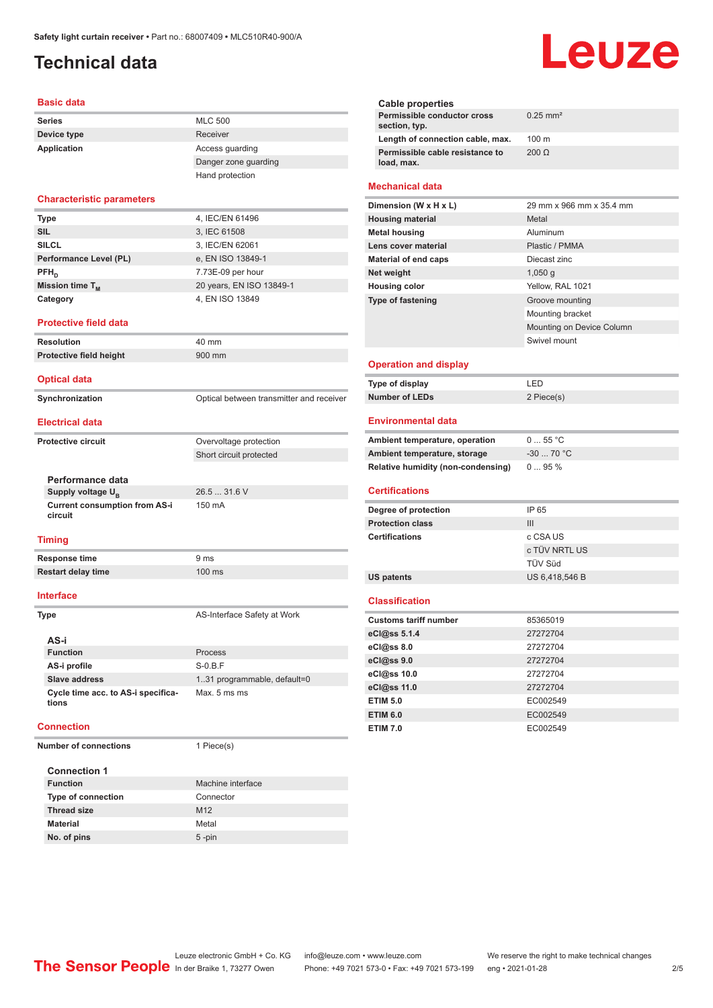## <span id="page-1-0"></span>**Technical data**

#### **Basic data**

| <b>Series</b> | <b>MLC 500</b>       |
|---------------|----------------------|
| Device type   | Receiver             |
| Application   | Access quarding      |
|               | Danger zone guarding |
|               | Hand protection      |

#### **Characteristic parameters**

| <b>Type</b>            | 4, IEC/EN 61496          |
|------------------------|--------------------------|
| <b>SIL</b>             | 3, IEC 61508             |
| <b>SILCL</b>           | 3, IEC/EN 62061          |
| Performance Level (PL) | e, EN ISO 13849-1        |
| $PFH_n$                | 7.73E-09 per hour        |
| Mission time $T_M$     | 20 years, EN ISO 13849-1 |
| Category               | 4, EN ISO 13849          |

#### **Protective field data**

| <b>Resolution</b>              | 40 mm                                    |
|--------------------------------|------------------------------------------|
| <b>Protective field height</b> | 900 mm                                   |
| <b>Optical data</b>            |                                          |
| Synchronization                | Optical between transmitter and receiver |
| <b>Electrical data</b>         |                                          |
| <b>Protective circuit</b>      | Overvoltage protection                   |
|                                | Short circuit protected                  |
| Performance data               |                                          |
| Supply voltage U <sub>n</sub>  | 26.531.6V                                |

Supply voltage  $U_B$ **Current consumption from AS-i circuit** 150 mA

#### **Timing**

| Response time             | 9 ms   |
|---------------------------|--------|
| <b>Restart delay time</b> | 100 ms |

#### **Interface**

**Type AS-Interface Safety at Work** 

| AS-i                                        |                              |
|---------------------------------------------|------------------------------|
| <b>Function</b>                             | Process                      |
| AS-i profile                                | $S-0.B.F$                    |
| Slave address                               | 1.31 programmable, default=0 |
| Cycle time acc. to AS-i specifica-<br>tions | Max. 5 ms ms                 |

#### **Connection**

**Number of connections** 1 Piece(s)

| <b>Connection 1</b>       |                   |
|---------------------------|-------------------|
| <b>Function</b>           | Machine interface |
| <b>Type of connection</b> | Connector         |
| <b>Thread size</b>        | M <sub>12</sub>   |
| <b>Material</b>           | Metal             |
| No. of pins               | $5$ -pin          |

# Leuze

| Cable properties                              |                        |
|-----------------------------------------------|------------------------|
| Permissible conductor cross<br>section, typ.  | $0.25$ mm <sup>2</sup> |
| Length of connection cable, max.              | $100 \text{ m}$        |
| Permissible cable resistance to<br>load, max. | $200 \Omega$           |
|                                               |                        |

#### **Mechanical data**

| Dimension (W x H x L)    | 29 mm x 966 mm x 35.4 mm  |
|--------------------------|---------------------------|
| <b>Housing material</b>  | Metal                     |
| <b>Metal housing</b>     | Aluminum                  |
| Lens cover material      | Plastic / PMMA            |
| Material of end caps     | Diecast zinc              |
| Net weight               | $1,050$ q                 |
| <b>Housing color</b>     | Yellow, RAL 1021          |
| <b>Type of fastening</b> | Groove mounting           |
|                          | Mounting bracket          |
|                          | Mounting on Device Column |
|                          | Swivel mount              |
|                          |                           |

#### **Operation and display**

| Type of display | ' FD       |
|-----------------|------------|
| Number of LEDs  | 2 Piece(s) |

#### **Environmental data**

| Ambient temperature, operation     | 055 °C     |
|------------------------------------|------------|
| Ambient temperature, storage       | $-3070 °C$ |
| Relative humidity (non-condensing) | $095\%$    |

#### **Certifications**

| Degree of protection    | IP 65          |
|-------------------------|----------------|
| <b>Protection class</b> | Ш              |
| <b>Certifications</b>   | c CSA US       |
|                         | c TÜV NRTL US  |
|                         | TÜV Süd        |
| US patents              | US 6.418.546 B |

#### **Classification**

| <b>Customs tariff number</b> | 85365019 |
|------------------------------|----------|
| eCl@ss 5.1.4                 | 27272704 |
| eCl@ss 8.0                   | 27272704 |
| eCl@ss 9.0                   | 27272704 |
| eCl@ss 10.0                  | 27272704 |
| eCl@ss 11.0                  | 27272704 |
| <b>ETIM 5.0</b>              | EC002549 |
| <b>ETIM 6.0</b>              | EC002549 |
| <b>ETIM 7.0</b>              | EC002549 |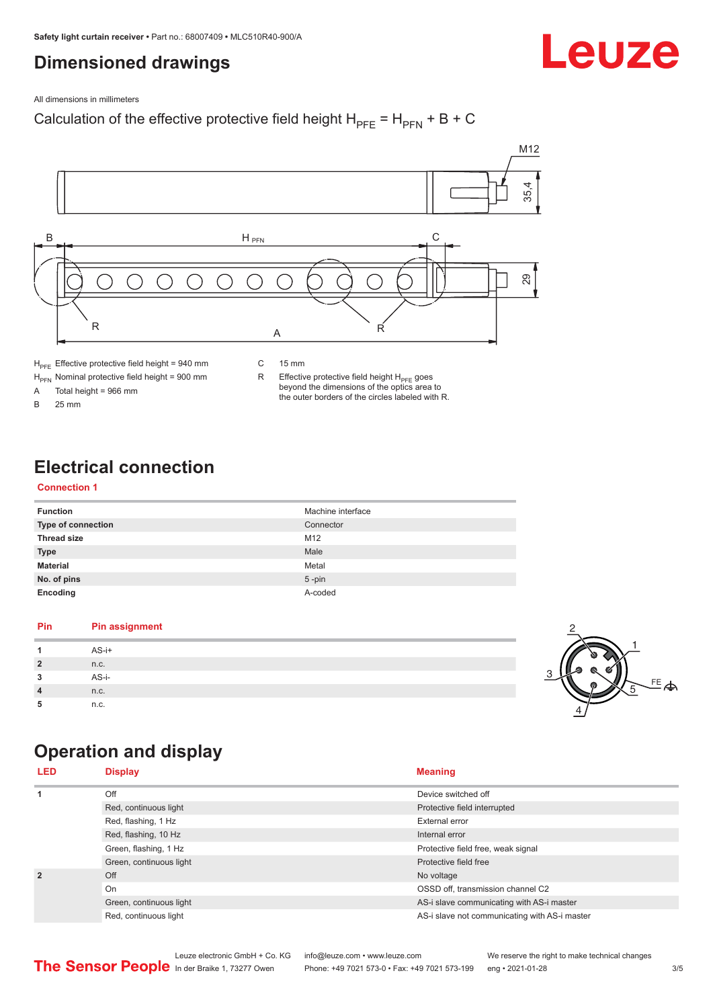## <span id="page-2-0"></span>**Dimensioned drawings**

#### All dimensions in millimeters

### Calculation of the effective protective field height  $H_{PFE} = H_{PFN} + B + C$



 $H_{\text{PFN}}$  Nominal protective field height = 900 mm<br>A Total height = 966 mm

Total height =  $966$  mm

B 25 mm

R Effective protective field height  $H_{PFE}$  goes beyond the dimensions of the optics area to the outer borders of the circles labeled with R.

## **Electrical connection**

#### **Connection 1**

| <b>Function</b>           | Machine interface |
|---------------------------|-------------------|
| <b>Type of connection</b> | Connector         |
| <b>Thread size</b>        | M <sub>12</sub>   |
| <b>Type</b>               | Male              |
| <b>Material</b>           | Metal             |
| No. of pins               | $5$ -pin          |
| Encoding                  | A-coded           |

#### **Pin Pin assignment 1** AS-i+ **2** n.c. **3** AS-i-**4** n.c. **5** n.c.



Leuze

## **Operation and display**

| <b>LED</b>     | <b>Display</b>          | <b>Meaning</b>                                |
|----------------|-------------------------|-----------------------------------------------|
| 1              | Off                     | Device switched off                           |
|                | Red, continuous light   | Protective field interrupted                  |
|                | Red, flashing, 1 Hz     | External error                                |
|                | Red, flashing, 10 Hz    | Internal error                                |
|                | Green, flashing, 1 Hz   | Protective field free, weak signal            |
|                | Green, continuous light | Protective field free                         |
| $\overline{2}$ | Off                     | No voltage                                    |
|                | On                      | OSSD off, transmission channel C2             |
|                | Green, continuous light | AS-i slave communicating with AS-i master     |
|                | Red, continuous light   | AS-i slave not communicating with AS-i master |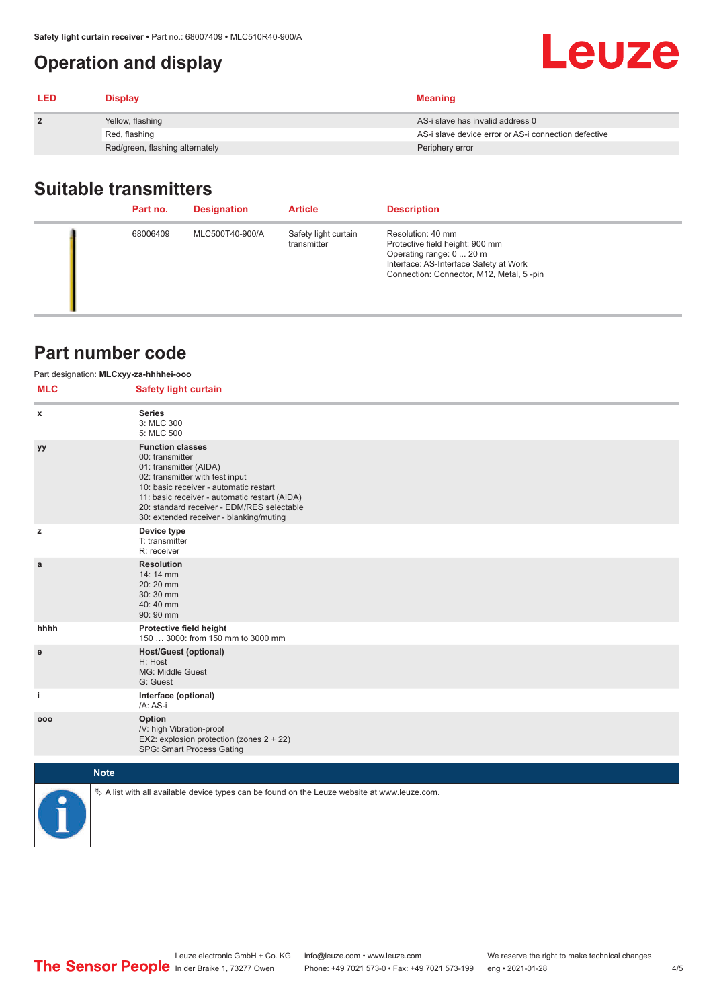## <span id="page-3-0"></span>**Operation and display**

| <b>LED</b>     | <b>Display</b>                  | <b>Meaning</b>                                       |
|----------------|---------------------------------|------------------------------------------------------|
| $\overline{2}$ | Yellow, flashing                | AS-i slave has invalid address 0                     |
|                | Red, flashing                   | AS-i slave device error or AS-i connection defective |
|                | Red/green, flashing alternately | Periphery error                                      |

## **Suitable transmitters**

| Part no. | <b>Designation</b> | <b>Article</b>                      | <b>Description</b>                                                                                                                                                     |
|----------|--------------------|-------------------------------------|------------------------------------------------------------------------------------------------------------------------------------------------------------------------|
| 68006409 | MLC500T40-900/A    | Safety light curtain<br>transmitter | Resolution: 40 mm<br>Protective field height: 900 mm<br>Operating range: 0  20 m<br>Interface: AS-Interface Safety at Work<br>Connection: Connector, M12, Metal, 5-pin |

## **Part number code**

| Part designation: MLCxyy-za-hhhhei-ooo |                                                                                                                                                                                                                                                                                             |  |  |  |
|----------------------------------------|---------------------------------------------------------------------------------------------------------------------------------------------------------------------------------------------------------------------------------------------------------------------------------------------|--|--|--|
| <b>MLC</b>                             | <b>Safety light curtain</b>                                                                                                                                                                                                                                                                 |  |  |  |
| x                                      | <b>Series</b><br>3: MLC 300<br>5: MLC 500                                                                                                                                                                                                                                                   |  |  |  |
| yy                                     | <b>Function classes</b><br>00: transmitter<br>01: transmitter (AIDA)<br>02: transmitter with test input<br>10: basic receiver - automatic restart<br>11: basic receiver - automatic restart (AIDA)<br>20: standard receiver - EDM/RES selectable<br>30: extended receiver - blanking/muting |  |  |  |
| z                                      | Device type<br>T: transmitter<br>R: receiver                                                                                                                                                                                                                                                |  |  |  |
| a                                      | <b>Resolution</b><br>14: 14 mm<br>20:20 mm<br>30:30 mm<br>40:40 mm<br>90: 90 mm                                                                                                                                                                                                             |  |  |  |
| hhhh                                   | Protective field height<br>150  3000: from 150 mm to 3000 mm                                                                                                                                                                                                                                |  |  |  |
| e                                      | <b>Host/Guest (optional)</b><br>H: Host<br>MG: Middle Guest<br>G: Guest                                                                                                                                                                                                                     |  |  |  |
| j.                                     | Interface (optional)<br>/A: AS-i                                                                                                                                                                                                                                                            |  |  |  |
| 000                                    | Option<br>/V: high Vibration-proof<br>EX2: explosion protection (zones 2 + 22)<br>SPG: Smart Process Gating                                                                                                                                                                                 |  |  |  |
|                                        | <b>Note</b>                                                                                                                                                                                                                                                                                 |  |  |  |
|                                        | $\&$ A list with all available device types can be found on the Leuze website at www.leuze.com.                                                                                                                                                                                             |  |  |  |

Leuze